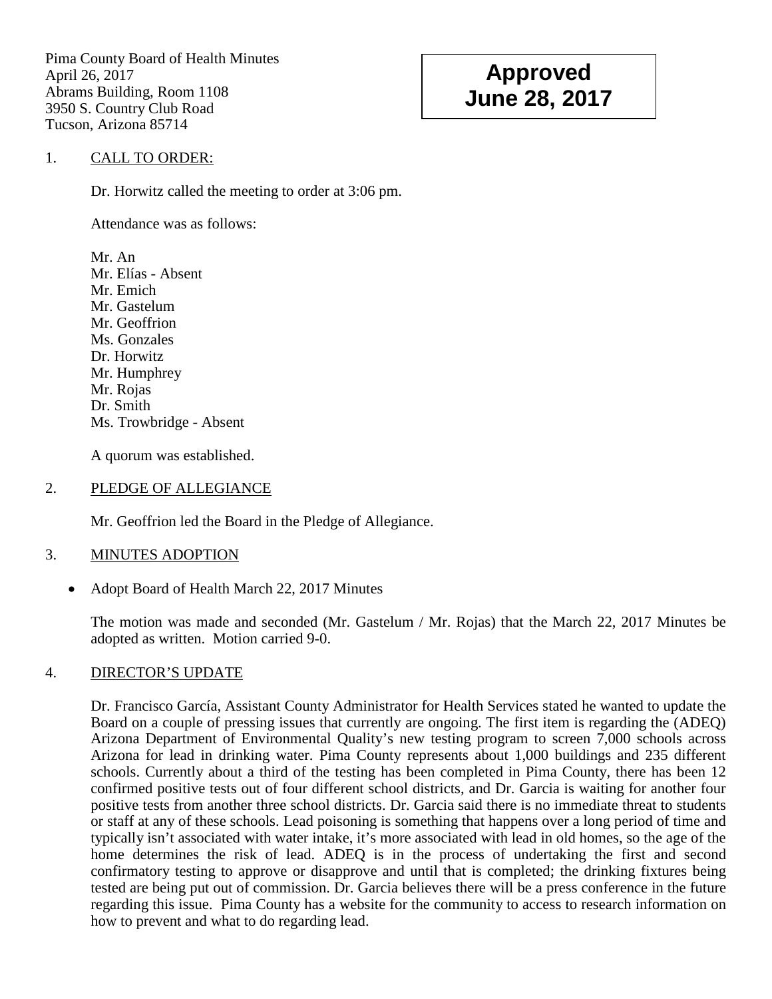Pima County Board of Health Minutes April 26, 2017 Abrams Building, Room 1108 3950 S. Country Club Road Tucson, Arizona 85714

# **Approved June 28, 2017**

## 1. CALL TO ORDER:

Dr. Horwitz called the meeting to order at 3:06 pm.

Attendance was as follows:

Mr. An Mr. Elías - Absent Mr. Emich Mr. Gastelum Mr. Geoffrion Ms. Gonzales Dr. Horwitz Mr. Humphrey Mr. Rojas Dr. Smith Ms. Trowbridge - Absent

A quorum was established.

#### 2. PLEDGE OF ALLEGIANCE

Mr. Geoffrion led the Board in the Pledge of Allegiance.

#### 3. MINUTES ADOPTION

• Adopt Board of Health March 22, 2017 Minutes

The motion was made and seconded (Mr. Gastelum / Mr. Rojas) that the March 22, 2017 Minutes be adopted as written. Motion carried 9-0.

## 4. DIRECTOR'S UPDATE

Dr. Francisco García, Assistant County Administrator for Health Services stated he wanted to update the Board on a couple of pressing issues that currently are ongoing. The first item is regarding the (ADEQ) Arizona Department of Environmental Quality's new testing program to screen 7,000 schools across Arizona for lead in drinking water. Pima County represents about 1,000 buildings and 235 different schools. Currently about a third of the testing has been completed in Pima County, there has been 12 confirmed positive tests out of four different school districts, and Dr. Garcia is waiting for another four positive tests from another three school districts. Dr. Garcia said there is no immediate threat to students or staff at any of these schools. Lead poisoning is something that happens over a long period of time and typically isn't associated with water intake, it's more associated with lead in old homes, so the age of the home determines the risk of lead. ADEQ is in the process of undertaking the first and second confirmatory testing to approve or disapprove and until that is completed; the drinking fixtures being tested are being put out of commission. Dr. Garcia believes there will be a press conference in the future regarding this issue. Pima County has a website for the community to access to research information on how to prevent and what to do regarding lead.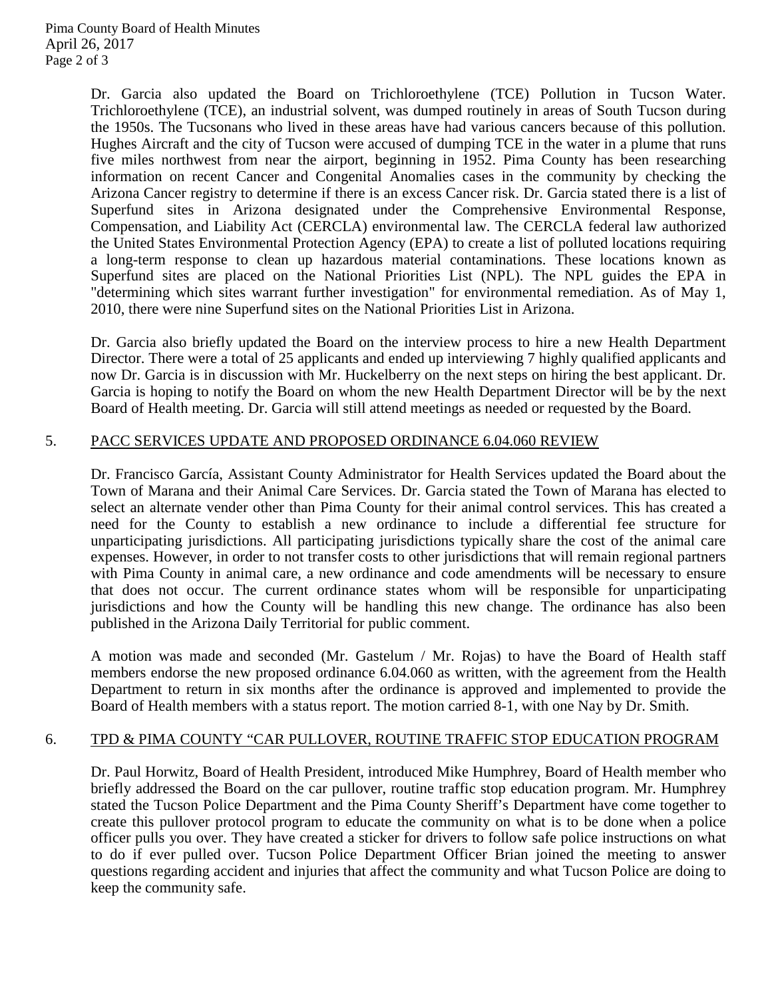Dr. Garcia also updated the Board on Trichloroethylene (TCE) Pollution in Tucson Water. Trichloroethylene (TCE), an industrial solvent, was dumped routinely in areas of South Tucson during the 1950s. The Tucsonans who lived in these areas have had various cancers because of this pollution. Hughes Aircraft and the city of Tucson were accused of dumping TCE in the water in a plume that runs five miles northwest from near the airport, beginning in 1952. Pima County has been researching information on recent Cancer and Congenital Anomalies cases in the community by checking the Arizona Cancer registry to determine if there is an excess Cancer risk. Dr. Garcia stated there is a list of Superfund sites in Arizona designated under the Comprehensive Environmental Response, Compensation, and Liability Act (CERCLA) environmental law. The CERCLA federal law authorized the United States Environmental Protection Agency (EPA) to create a list of polluted locations requiring a long-term response to clean up hazardous material contaminations. These locations known as Superfund sites are placed on the National Priorities List (NPL). The NPL guides the EPA in "determining which sites warrant further investigation" for environmental remediation. As of May 1, 2010, there were nine Superfund sites on the National Priorities List in Arizona.

Dr. Garcia also briefly updated the Board on the interview process to hire a new Health Department Director. There were a total of 25 applicants and ended up interviewing 7 highly qualified applicants and now Dr. Garcia is in discussion with Mr. Huckelberry on the next steps on hiring the best applicant. Dr. Garcia is hoping to notify the Board on whom the new Health Department Director will be by the next Board of Health meeting. Dr. Garcia will still attend meetings as needed or requested by the Board.

## 5. PACC SERVICES UPDATE AND PROPOSED ORDINANCE 6.04.060 REVIEW

Dr. Francisco García, Assistant County Administrator for Health Services updated the Board about the Town of Marana and their Animal Care Services. Dr. Garcia stated the Town of Marana has elected to select an alternate vender other than Pima County for their animal control services. This has created a need for the County to establish a new ordinance to include a differential fee structure for unparticipating jurisdictions. All participating jurisdictions typically share the cost of the animal care expenses. However, in order to not transfer costs to other jurisdictions that will remain regional partners with Pima County in animal care, a new ordinance and code amendments will be necessary to ensure that does not occur. The current ordinance states whom will be responsible for unparticipating jurisdictions and how the County will be handling this new change. The ordinance has also been published in the Arizona Daily Territorial for public comment.

A motion was made and seconded (Mr. Gastelum / Mr. Rojas) to have the Board of Health staff members endorse the new proposed ordinance 6.04.060 as written, with the agreement from the Health Department to return in six months after the ordinance is approved and implemented to provide the Board of Health members with a status report. The motion carried 8-1, with one Nay by Dr. Smith.

## 6. TPD & PIMA COUNTY "CAR PULLOVER, ROUTINE TRAFFIC STOP EDUCATION PROGRAM

Dr. Paul Horwitz, Board of Health President, introduced Mike Humphrey, Board of Health member who briefly addressed the Board on the car pullover, routine traffic stop education program. Mr. Humphrey stated the Tucson Police Department and the Pima County Sheriff's Department have come together to create this pullover protocol program to educate the community on what is to be done when a police officer pulls you over. They have created a sticker for drivers to follow safe police instructions on what to do if ever pulled over. Tucson Police Department Officer Brian joined the meeting to answer questions regarding accident and injuries that affect the community and what Tucson Police are doing to keep the community safe.